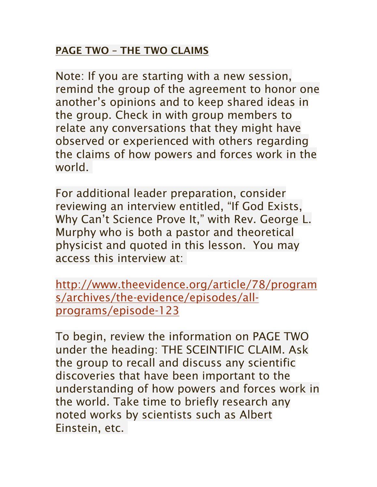## PAGE TWO – THE TWO CLAIMS

Note: If you are starting with a new session, remind the group of the agreement to honor one another's opinions and to keep shared ideas in the group. Check in with group members to relate any conversations that they might have observed or experienced with others regarding the claims of how powers and forces work in the world.

For additional leader preparation, consider reviewing an interview entitled, "If God Exists, Why Can't Science Prove It," with Rev. George L. Murphy who is both a pastor and theoretical physicist and quoted in this lesson. You may access this interview at:

http://www.theevidence.org/article/78/program s/archives/the-evidence/episodes/allprograms/episode-123

To begin, review the information on PAGE TWO under the heading: THE SCEINTIFIC CLAIM. Ask the group to recall and discuss any scientific discoveries that have been important to the understanding of how powers and forces work in the world. Take time to briefly research any noted works by scientists such as Albert Einstein, etc.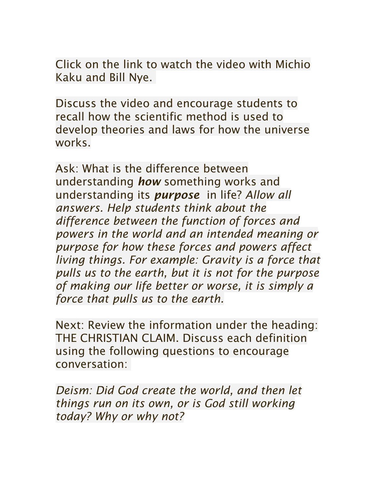Click on the link to watch the video with Michio Kaku and Bill Nye.

Discuss the video and encourage students to recall how the scientific method is used to develop theories and laws for how the universe works.

Ask: What is the difference between understanding *how* something works and understanding its *purpose* in life? *Allow all answers. Help students think about the difference between the function of forces and powers in the world and an intended meaning or purpose for how these forces and powers affect living things. For example: Gravity is a force that pulls us to the earth, but it is not for the purpose of making our life better or worse, it is simply a force that pulls us to the earth.*

Next: Review the information under the heading: THE CHRISTIAN CLAIM. Discuss each definition using the following questions to encourage conversation:

*Deism: Did God create the world, and then let things run on its own, or is God still working today? Why or why not?*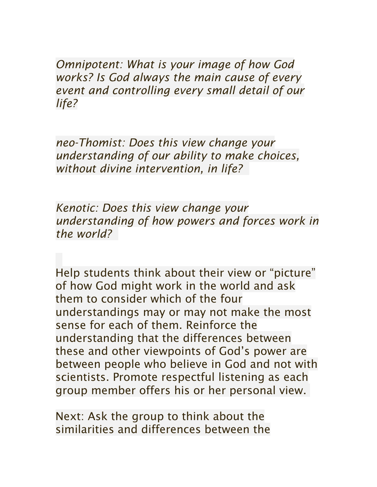*Omnipotent: What is your image of how God works? Is God always the main cause of every event and controlling every small detail of our life?*

*neo-Thomist: Does this view change your understanding of our ability to make choices, without divine intervention, in life?*

*Kenotic: Does this view change your understanding of how powers and forces work in the world?*

Help students think about their view or "picture" of how God might work in the world and ask them to consider which of the four understandings may or may not make the most sense for each of them. Reinforce the understanding that the differences between these and other viewpoints of God's power are between people who believe in God and not with scientists. Promote respectful listening as each group member offers his or her personal view.

Next: Ask the group to think about the similarities and differences between the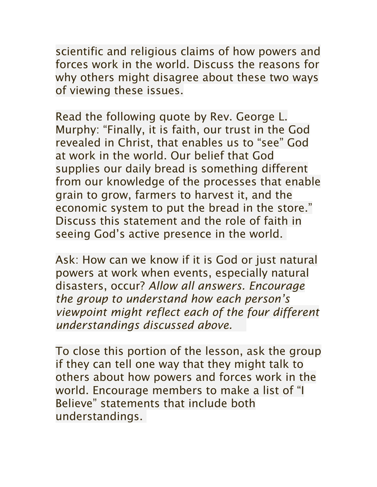scientific and religious claims of how powers and forces work in the world. Discuss the reasons for why others might disagree about these two ways of viewing these issues.

Read the following quote by Rev. George L. Murphy: "Finally, it is faith, our trust in the God revealed in Christ, that enables us to "see" God at work in the world. Our belief that God supplies our daily bread is something different from our knowledge of the processes that enable grain to grow, farmers to harvest it, and the economic system to put the bread in the store." Discuss this statement and the role of faith in seeing God's active presence in the world.

Ask: How can we know if it is God or just natural powers at work when events, especially natural disasters, occur? *Allow all answers. Encourage the group to understand how each person's viewpoint might reflect each of the four different understandings discussed above.*

To close this portion of the lesson, ask the group if they can tell one way that they might talk to others about how powers and forces work in the world. Encourage members to make a list of "I Believe" statements that include both understandings.